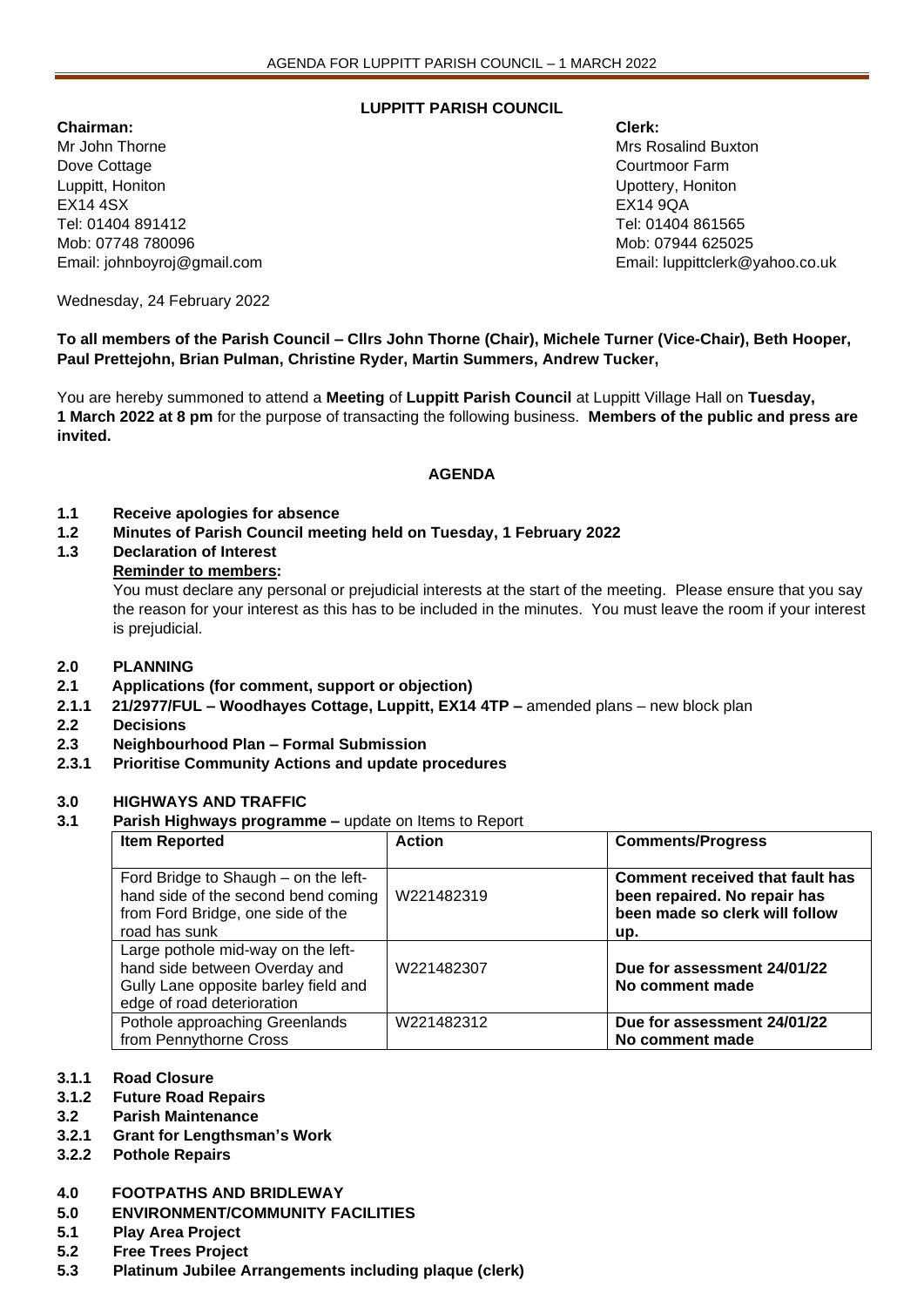# **LUPPITT PARISH COUNCIL**

**Chairman: Clerk:** Mr John Thorne Mrs Rosalind Buxton Mrs Rosalind Buxton Mrs Rosalind Buxton Dove Cottage **Courtmoon Courtmoon Courtmoon Courtmoon Courtmoon Farm** Luppitt, Honiton Upottery, Honiton EX14 4SX EX14 9QA Tel: 01404 891412 Tel: 01404 861565 Mob: 07748 780096 Mob: 07944 625025

Email: johnboyroj@gmail.com Email: luppittclerk@yahoo.co.uk

Wednesday, 24 February 2022

**To all members of the Parish Council – Cllrs John Thorne (Chair), Michele Turner (Vice-Chair), Beth Hooper, Paul Prettejohn, Brian Pulman, Christine Ryder, Martin Summers, Andrew Tucker,** 

You are hereby summoned to attend a **Meeting** of **Luppitt Parish Council** at Luppitt Village Hall on **Tuesday, 1 March 2022 at 8 pm** for the purpose of transacting the following business. **Members of the public and press are invited.**

# **AGENDA**

- **1.1 Receive apologies for absence**
- **1.2 Minutes of Parish Council meeting held on Tuesday, 1 February 2022**
- **1.3 Declaration of Interest**

### **Reminder to members:**

You must declare any personal or prejudicial interests at the start of the meeting. Please ensure that you say the reason for your interest as this has to be included in the minutes. You must leave the room if your interest is prejudicial.

#### **2.0 PLANNING**

- **2.1 Applications (for comment, support or objection)**
- **2.1.1 21/2977/FUL – Woodhayes Cottage, Luppitt, EX14 4TP –** amended plans new block plan
- **2.2 Decisions**
- **2.3 Neighbourhood Plan – Formal Submission**
- **2.3.1 Prioritise Community Actions and update procedures**

#### **3.0 HIGHWAYS AND TRAFFIC**

**3.1 Parish Highways programme –** update on Items to Report

| <b>Item Reported</b>                                                                                                                      | <b>Action</b> | <b>Comments/Progress</b>                                                                                        |
|-------------------------------------------------------------------------------------------------------------------------------------------|---------------|-----------------------------------------------------------------------------------------------------------------|
| Ford Bridge to Shaugh – on the left-<br>hand side of the second bend coming<br>from Ford Bridge, one side of the<br>road has sunk         | W221482319    | <b>Comment received that fault has</b><br>been repaired. No repair has<br>been made so clerk will follow<br>up. |
| Large pothole mid-way on the left-<br>hand side between Overday and<br>Gully Lane opposite barley field and<br>edge of road deterioration | W221482307    | Due for assessment 24/01/22<br>No comment made                                                                  |
| Pothole approaching Greenlands<br>from Pennythorne Cross                                                                                  | W221482312    | Due for assessment 24/01/22<br>No comment made                                                                  |

#### **3.1.1 Road Closure**

- **3.1.2 Future Road Repairs**
- **3.2 Parish Maintenance**
- **3.2.1 Grant for Lengthsman's Work**
- **3.2.2 Pothole Repairs**

#### **4.0 FOOTPATHS AND BRIDLEWAY**

- **5.0 ENVIRONMENT/COMMUNITY FACILITIES**
- **5.1 Play Area Project**
- **5.2 Free Trees Project**
- **5.3 Platinum Jubilee Arrangements including plaque (clerk)**